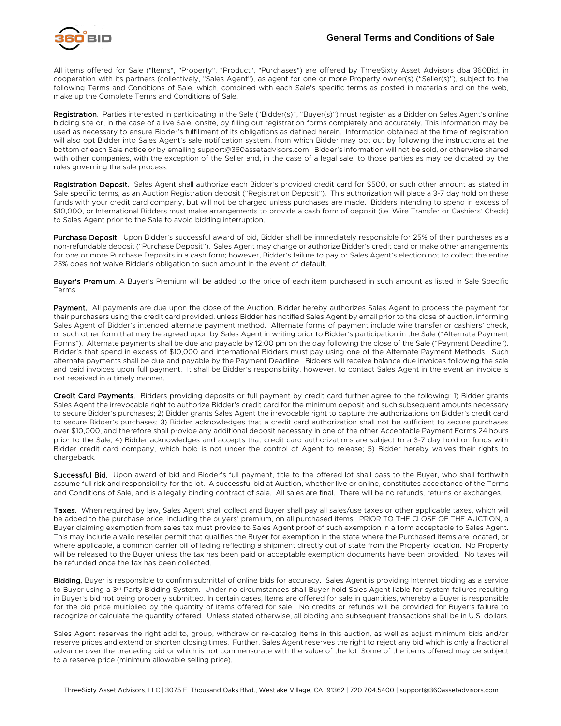

All items offered for Sale ("Items", "Property", "Product", "Purchases") are offered by ThreeSixty Asset Advisors dba 360Bid, in cooperation with its partners (collectively, "Sales Agent"), as agent for one or more Property owner(s) ("Seller(s)"), subject to the following Terms and Conditions of Sale, which, combined with each Sale's specific terms as posted in materials and on the web, make up the Complete Terms and Conditions of Sale.

Registration. Parties interested in participating in the Sale ("Bidder(s)", "Buyer(s)") must register as a Bidder on Sales Agent's online bidding site or, in the case of a live Sale, onsite, by filling out registration forms completely and accurately. This information may be used as necessary to ensure Bidder's fulfillment of its obligations as defined herein. Information obtained at the time of registration will also opt Bidder into Sales Agent's sale notification system, from which Bidder may opt out by following the instructions at the bottom of each Sale notice or by emailing support@360assetadvisors.com. Bidder's information will not be sold, or otherwise shared with other companies, with the exception of the Seller and, in the case of a legal sale, to those parties as may be dictated by the rules governing the sale process.

Registration Deposit. Sales Agent shall authorize each Bidder's provided credit card for \$500, or such other amount as stated in Sale specific terms, as an Auction Registration deposit ("Registration Deposit"). This authorization will place a 3-7 day hold on these funds with your credit card company, but will not be charged unless purchases are made. Bidders intending to spend in excess of \$10,000, or International Bidders must make arrangements to provide a cash form of deposit (i.e. Wire Transfer or Cashiers' Check) to Sales Agent prior to the Sale to avoid bidding interruption.

Purchase Deposit. Upon Bidder's successful award of bid, Bidder shall be immediately responsible for 25% of their purchases as a non-refundable deposit ("Purchase Deposit"). Sales Agent may charge or authorize Bidder's credit card or make other arrangements for one or more Purchase Deposits in a cash form; however, Bidder's failure to pay or Sales Agent's election not to collect the entire 25% does not waive Bidder's obligation to such amount in the event of default.

Buyer's Premium. A Buyer's Premium will be added to the price of each item purchased in such amount as listed in Sale Specific Terms.

Payment. All payments are due upon the close of the Auction. Bidder hereby authorizes Sales Agent to process the payment for their purchasers using the credit card provided, unless Bidder has notified Sales Agent by email prior to the close of auction, informing Sales Agent of Bidder's intended alternate payment method. Alternate forms of payment include wire transfer or cashiers' check, or such other form that may be agreed upon by Sales Agent in writing prior to Bidder's participation in the Sale ("Alternate Payment Forms"). Alternate payments shall be due and payable by 12:00 pm on the day following the close of the Sale ("Payment Deadline"). Bidder's that spend in excess of \$10,000 and international Bidders must pay using one of the Alternate Payment Methods. Such alternate payments shall be due and payable by the Payment Deadline. Bidders will receive balance due invoices following the sale and paid invoices upon full payment. It shall be Bidder's responsibility, however, to contact Sales Agent in the event an invoice is not received in a timely manner.

Credit Card Payments. Bidders providing deposits or full payment by credit card further agree to the following: 1) Bidder grants Sales Agent the irrevocable right to authorize Bidder's credit card for the minimum deposit and such subsequent amounts necessary to secure Bidder's purchases; 2) Bidder grants Sales Agent the irrevocable right to capture the authorizations on Bidder's credit card to secure Bidder's purchases; 3) Bidder acknowledges that a credit card authorization shall not be sufficient to secure purchases over \$10,000, and therefore shall provide any additional deposit necessary in one of the other Acceptable Payment Forms 24 hours prior to the Sale; 4) Bidder acknowledges and accepts that credit card authorizations are subject to a 3-7 day hold on funds with Bidder credit card company, which hold is not under the control of Agent to release; 5) Bidder hereby waives their rights to chargeback.

Successful Bid. Upon award of bid and Bidder's full payment, title to the offered lot shall pass to the Buyer, who shall forthwith assume full risk and responsibility for the lot. A successful bid at Auction, whether live or online, constitutes acceptance of the Terms and Conditions of Sale, and is a legally binding contract of sale. All sales are final. There will be no refunds, returns or exchanges.

Taxes. When required by law, Sales Agent shall collect and Buyer shall pay all sales/use taxes or other applicable taxes, which will be added to the purchase price, including the buyers' premium, on all purchased items. PRIOR TO THE CLOSE OF THE AUCTION, a Buyer claiming exemption from sales tax must provide to Sales Agent proof of such exemption in a form acceptable to Sales Agent. This may include a valid reseller permit that qualifies the Buyer for exemption in the state where the Purchased items are located, or where applicable, a common carrier bill of lading reflecting a shipment directly out of state from the Property location. No Property will be released to the Buyer unless the tax has been paid or acceptable exemption documents have been provided. No taxes will be refunded once the tax has been collected.

Bidding. Buyer is responsible to confirm submittal of online bids for accuracy. Sales Agent is providing Internet bidding as a service to Buyer using a 3<sup>rd</sup> Party Bidding System. Under no circumstances shall Buyer hold Sales Agent liable for system failures resulting in Buyer's bid not being properly submitted. In certain cases, Items are offered for sale in quantities, whereby a Buyer is responsible for the bid price multiplied by the quantity of Items offered for sale. No credits or refunds will be provided for Buyer's failure to recognize or calculate the quantity offered. Unless stated otherwise, all bidding and subsequent transactions shall be in U.S. dollars.

Sales Agent reserves the right add to, group, withdraw or re-catalog items in this auction, as well as adjust minimum bids and/or reserve prices and extend or shorten closing times. Further, Sales Agent reserves the right to reject any bid which is only a fractional advance over the preceding bid or which is not commensurate with the value of the lot. Some of the items offered may be subject to a reserve price (minimum allowable selling price).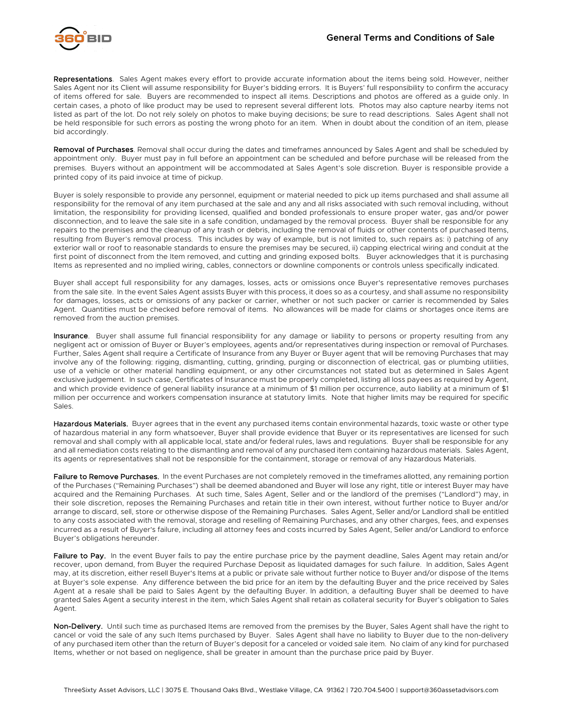Representations. Sales Agent makes every effort to provide accurate information about the items being sold. However, neither Sales Agent nor its Client will assume responsibility for Buyer's bidding errors. It is Buyers' full responsibility to confirm the accuracy of items offered for sale. Buyers are recommended to inspect all items. Descriptions and photos are offered as a guide only. In certain cases, a photo of like product may be used to represent several different lots. Photos may also capture nearby items not listed as part of the lot. Do not rely solely on photos to make buying decisions; be sure to read descriptions. Sales Agent shall not be held responsible for such errors as posting the wrong photo for an item. When in doubt about the condition of an item, please bid accordingly.

Removal of Purchases. Removal shall occur during the dates and timeframes announced by Sales Agent and shall be scheduled by appointment only. Buyer must pay in full before an appointment can be scheduled and before purchase will be released from the premises. Buyers without an appointment will be accommodated at Sales Agent's sole discretion. Buyer is responsible provide a printed copy of its paid invoice at time of pickup.

Buyer is solely responsible to provide any personnel, equipment or material needed to pick up items purchased and shall assume all responsibility for the removal of any item purchased at the sale and any and all risks associated with such removal including, without limitation, the responsibility for providing licensed, qualified and bonded professionals to ensure proper water, gas and/or power disconnection, and to leave the sale site in a safe condition, undamaged by the removal process. Buyer shall be responsible for any repairs to the premises and the cleanup of any trash or debris, including the removal of fluids or other contents of purchased Items, resulting from Buyer's removal process. This includes by way of example, but is not limited to, such repairs as: i) patching of any exterior wall or roof to reasonable standards to ensure the premises may be secured, ii) capping electrical wiring and conduit at the first point of disconnect from the Item removed, and cutting and grinding exposed bolts. Buyer acknowledges that it is purchasing Items as represented and no implied wiring, cables, connectors or downline components or controls unless specifically indicated.

Buyer shall accept full responsibility for any damages, losses, acts or omissions once Buyer's representative removes purchases from the sale site. In the event Sales Agent assists Buyer with this process, it does so as a courtesy, and shall assume no responsibility for damages, losses, acts or omissions of any packer or carrier, whether or not such packer or carrier is recommended by Sales Agent. Quantities must be checked before removal of items. No allowances will be made for claims or shortages once items are removed from the auction premises.

Insurance. Buyer shall assume full financial responsibility for any damage or liability to persons or property resulting from any negligent act or omission of Buyer or Buyer's employees, agents and/or representatives during inspection or removal of Purchases. Further, Sales Agent shall require a Certificate of Insurance from any Buyer or Buyer agent that will be removing Purchases that may involve any of the following: rigging, dismantling, cutting, grinding, purging or disconnection of electrical, gas or plumbing utilities, use of a vehicle or other material handling equipment, or any other circumstances not stated but as determined in Sales Agent exclusive judgement. In such case, Certificates of Insurance must be properly completed, listing all loss payees as required by Agent, and which provide evidence of general liability insurance at a minimum of \$1 million per occurrence, auto liability at a minimum of \$1 million per occurrence and workers compensation insurance at statutory limits. Note that higher limits may be required for specific Sales.

Hazardous Materials. Buyer agrees that in the event any purchased items contain environmental hazards, toxic waste or other type of hazardous material in any form whatsoever, Buyer shall provide evidence that Buyer or its representatives are licensed for such removal and shall comply with all applicable local, state and/or federal rules, laws and regulations. Buyer shall be responsible for any and all remediation costs relating to the dismantling and removal of any purchased item containing hazardous materials. Sales Agent, its agents or representatives shall not be responsible for the containment, storage or removal of any Hazardous Materials.

Failure to Remove Purchases. In the event Purchases are not completely removed in the timeframes allotted, any remaining portion of the Purchases ("Remaining Purchases") shall be deemed abandoned and Buyer will lose any right, title or interest Buyer may have acquired and the Remaining Purchases. At such time, Sales Agent, Seller and or the landlord of the premises ("Landlord") may, in their sole discretion, reposes the Remaining Purchases and retain title in their own interest, without further notice to Buyer and/or arrange to discard, sell, store or otherwise dispose of the Remaining Purchases. Sales Agent, Seller and/or Landlord shall be entitled to any costs associated with the removal, storage and reselling of Remaining Purchases, and any other charges, fees, and expenses incurred as a result of Buyer's failure, including all attorney fees and costs incurred by Sales Agent, Seller and/or Landlord to enforce Buyer's obligations hereunder.

Failure to Pay. In the event Buyer fails to pay the entire purchase price by the payment deadline, Sales Agent may retain and/or recover, upon demand, from Buyer the required Purchase Deposit as liquidated damages for such failure. In addition, Sales Agent may, at its discretion, either resell Buyer's Items at a public or private sale without further notice to Buyer and/or dispose of the Items at Buyer's sole expense. Any difference between the bid price for an item by the defaulting Buyer and the price received by Sales Agent at a resale shall be paid to Sales Agent by the defaulting Buyer. In addition, a defaulting Buyer shall be deemed to have granted Sales Agent a security interest in the item, which Sales Agent shall retain as collateral security for Buyer's obligation to Sales Agent.

Non-Delivery. Until such time as purchased Items are removed from the premises by the Buyer, Sales Agent shall have the right to cancel or void the sale of any such Items purchased by Buyer. Sales Agent shall have no liability to Buyer due to the non-delivery of any purchased item other than the return of Buyer's deposit for a canceled or voided sale item. No claim of any kind for purchased Items, whether or not based on negligence, shall be greater in amount than the purchase price paid by Buyer.